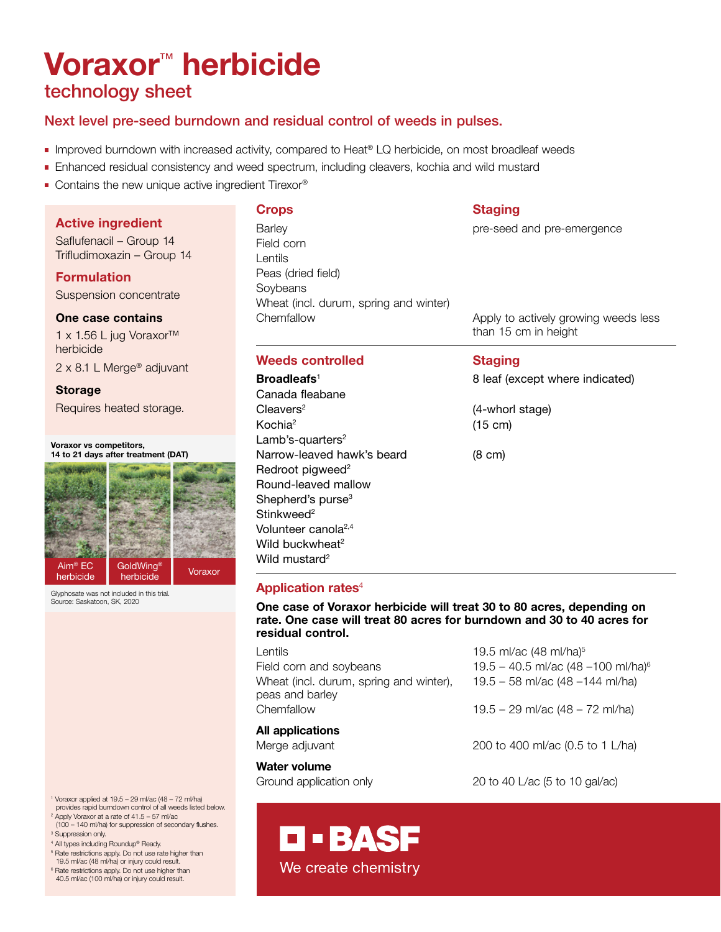# Voraxor™ herbicide technology sheet

## Next level pre-seed burndown and residual control of weeds in pulses.

- Improved burndown with increased activity, compared to Heat® LQ herbicide, on most broadleaf weeds
- Enhanced residual consistency and weed spectrum, including cleavers, kochia and wild mustard
- Contains the new unique active ingredient Tirexor®

## Active ingredient

Saflufenacil – Group 14 Trifludimoxazin – Group 14

## Formulation Suspension concentrate

## One case contains

1 x 1.56 L jug Voraxor™ herbicide 2 x 8.1 L Merge® adjuvant

## Storage

Requires heated storage.

### Voraxor vs competitors, 14 to 21 days after treatment (DAT)



Glyphosate was not included in this trial. Source: Saskatoon, SK, 2020

Barley **Barley Barley pre-seed and pre-emergence** Field corn Lentils Peas (dried field) **Soybeans** Wheat (incl. durum, spring and winter) Chemfallow Apply to actively growing weeds less

## Weeds controlled Staging

Canada fleabane Cleavers<sup>2</sup> (4-whorl stage) Kochia<sup>2</sup> (15 cm) Lamb's-quarters<sup>2</sup> Narrow-leaved hawk's beard (8 cm) Redroot pigweed<sup>2</sup> Round-leaved mallow Shepherd's purse<sup>3</sup> Stinkweed<sup>2</sup> Volunteer canola2,4 Wild buckwheat<sup>2</sup> Wild mustard<sup>2</sup>

## **Crops** Staging

than 15 cm in height

Broadleafs<sup>1</sup> 8 leaf (except where indicated)

## Application rates<sup>4</sup>

One case of Voraxor herbicide will treat 30 to 80 acres, depending on rate. One case will treat 80 acres for burndown and 30 to 40 acres for residual control.

| Lentils                                                    | 19.5 ml/ac (48 ml/ha) <sup>5</sup>              |
|------------------------------------------------------------|-------------------------------------------------|
| Field corn and soybeans                                    | 19.5 - 40.5 ml/ac (48 - 100 ml/ha) <sup>6</sup> |
| Wheat (incl. durum, spring and winter),<br>peas and barley | 19.5 - 58 ml/ac (48 - 144 ml/ha)                |
| Chemfallow                                                 | 19.5 – 29 ml/ac $(48 - 72$ ml/ha)               |
| All applications                                           |                                                 |
| Merge adjuvant                                             | 200 to 400 ml/ac (0.5 to 1 L/ha)                |
| Water volume                                               |                                                 |
| Ground application only                                    | 20 to 40 L/ac (5 to 10 gal/ac)                  |

- 1 Voraxor applied at 19.5 29 ml/ac (48 72 ml/ha) provides rapid burndown control of all weeds listed below.
- 2 Apply Voraxor at a rate of 41.5 57 ml/ac (100 – 140 ml/ha) for suppression of secondary flushes.
- <sup>3</sup> Suppression only.
- 4 All types including Roundup® Ready.
- <sup>5</sup> Rate restrictions apply. Do not use rate higher than 19.5 ml/ac (48 ml/ha) or injury could result.
- 6 Rate restrictions apply. Do not use higher than 40.5 ml/ac (100 ml/ha) or injury could result.

We create chemistry

**O-BASF**